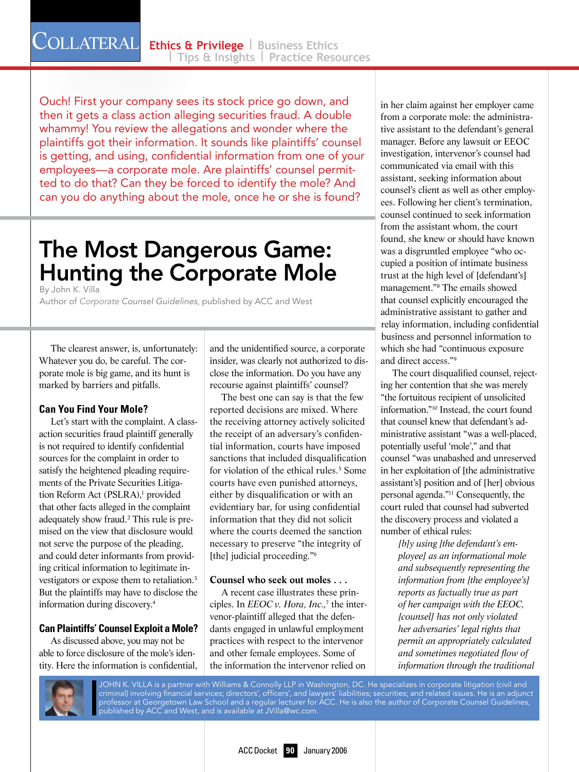Ouch! First your company sees its stock price go down, and then it gets a class action alleging securities fraud. A double whammy! You review the allegations and wonder where the plaintiffs got their information. It sounds like plaintiffs' counsel is getting, and using, confidential information from one of your employees—a corporate mole. Are plaintiffs' counsel permitted to do that? Can they be forced to identify the mole? And can you do anything about the mole, once he or she is found?

# The Most Dangerous Game: Hunting the Corporate Mole

By John K. Villa

Author of *Corporate Counsel Guidelines*, published by ACC and West

The clearest answer, is, unfortunately: Whatever you do, be careful. The corporate mole is big game, and its hunt is marked by barriers and pitfalls.

## **Can You Find Your Mole?**

Let's start with the complaint. A classaction securities fraud plaintiff generally is not required to identify confidential sources for the complaint in order to satisfy the heightened pleading requirements of the Private Securities Litigation Reform Act (PSLRA),<sup>1</sup> provided that other facts alleged in the complaint adequately show fraud.<sup>2</sup> This rule is premised on the view that disclosure would not serve the purpose of the pleading, and could deter informants from providing critical information to legitimate investigators or expose them to retaliation.3 But the plaintiffs may have to disclose the information during discovery.4

## **Can Plaintiffs' Counsel Exploit a Mole?**

As discussed above, you may not be able to force disclosure of the mole's identity. Here the information is confidential, and the unidentified source, a corporate insider, was clearly not authorized to disclose the information. Do you have any recourse against plaintiffs' counsel?

The best one can say is that the few reported decisions are mixed. Where the receiving attorney actively solicited the receipt of an adversary's confidential information, courts have imposed sanctions that included disqualification for violation of the ethical rules.<sup>5</sup> Some courts have even punished attorneys, either by disqualification or with an evidentiary bar, for using confidential information that they did not solicit where the courts deemed the sanction necessary to preserve "the integrity of [the] judicial proceeding."6

#### **Counsel who seek out moles . . .**

A recent case illustrates these principles. In *EEOC v. Hora, Inc.,*<sup>7</sup> the intervenor-plaintiff alleged that the defendants engaged in unlawful employment practices with respect to the intervenor and other female employees. Some of the information the intervenor relied on in her claim against her employer came from a corporate mole: the administrative assistant to the defendant's general manager. Before any lawsuit or EEOC investigation, intervenor's counsel had communicated via email with this assistant, seeking information about counsel's client as well as other employees. Following her client's termination, counsel continued to seek information from the assistant whom, the court found, she knew or should have known was a disgruntled employee "who occupied a position of intimate business trust at the high level of [defendant's] management."8 The emails showed that counsel explicitly encouraged the administrative assistant to gather and relay information, including confidential business and personnel information to which she had "continuous exposure and direct access."9

The court disqualified counsel, rejecting her contention that she was merely "the fortuitous recipient of unsolicited information."10 Instead, the court found that counsel knew that defendant's administrative assistant "was a well-placed, potentially useful 'mole'," and that counsel "was unabashed and unreserved in her exploitation of [the administrative assistant's] position and of [her] obvious personal agenda."11 Consequently, the court ruled that counsel had subverted the discovery process and violated a number of ethical rules:

> *[b]y using [the defendant's employee] as an informational mole and subsequently representing the information from [the employee's] reports as factually true as part of her campaign with the EEOC, [counsel] has not only violated her adversaries' legal rights that permit an appropriately calculated and sometimes negotiated flow of information through the traditional*



JOHN K. VILLA is a partner with Williams & Connolly LLP in Washington, DC. He specializes in corporate litigation (civil and criminal) involving financial services; directors', officers', and lawyers' liabilities; securities; and related issues. He is an adjunct professor at Georgetown Law School and a regular lecturer for ACC. He is also the author of Corporate Counsel Guidelines, published by ACC and West, and is available at JVilla@wc.com.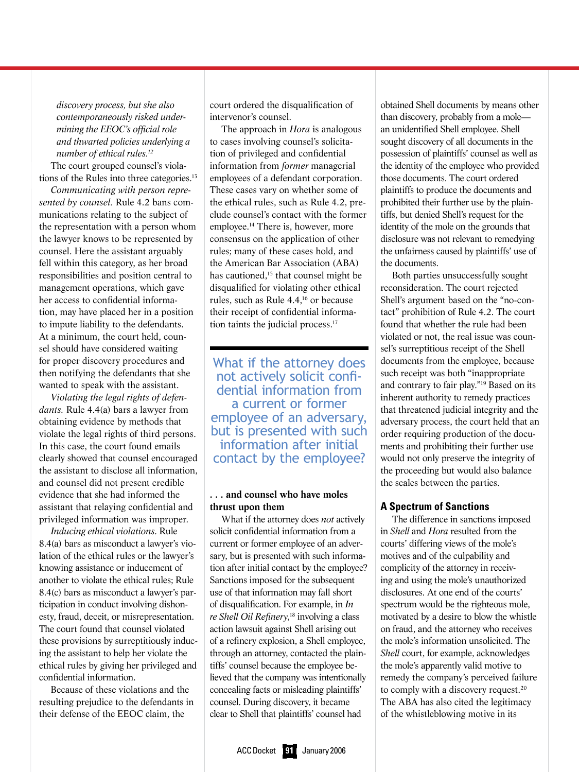*discovery process, but she also contemporaneously risked undermining the EEOC's official role and thwarted policies underlying a number of ethical rules.12*

The court grouped counsel's violations of the Rules into three categories.<sup>13</sup>

*Communicating with person represented by counsel.* Rule 4.2 bans communications relating to the subject of the representation with a person whom the lawyer knows to be represented by counsel. Here the assistant arguably fell within this category, as her broad responsibilities and position central to management operations, which gave her access to confidential information, may have placed her in a position to impute liability to the defendants. At a minimum, the court held, counsel should have considered waiting for proper discovery procedures and then notifying the defendants that she wanted to speak with the assistant.

*Violating the legal rights of defendants.* Rule 4.4(a) bars a lawyer from obtaining evidence by methods that violate the legal rights of third persons. In this case, the court found emails clearly showed that counsel encouraged the assistant to disclose all information, and counsel did not present credible evidence that she had informed the assistant that relaying confidential and privileged information was improper.

*Inducing ethical violations*. Rule 8.4(a) bars as misconduct a lawyer's violation of the ethical rules or the lawyer's knowing assistance or inducement of another to violate the ethical rules; Rule 8.4(c) bars as misconduct a lawyer's participation in conduct involving dishonesty, fraud, deceit, or misrepresentation. The court found that counsel violated these provisions by surreptitiously inducing the assistant to help her violate the ethical rules by giving her privileged and confidential information.

Because of these violations and the resulting prejudice to the defendants in their defense of the EEOC claim, the

court ordered the disqualification of intervenor's counsel.

The approach in *Hora* is analogous to cases involving counsel's solicitation of privileged and confidential information from *former* managerial employees of a defendant corporation. These cases vary on whether some of the ethical rules, such as Rule 4.2, preclude counsel's contact with the former employee.14 There is, however, more consensus on the application of other rules; many of these cases hold, and the American Bar Association (ABA) has cautioned.<sup>15</sup> that counsel might be disqualified for violating other ethical rules, such as Rule 4.4,16 or because their receipt of confidential information taints the judicial process.17

What if the attorney does not actively solicit confi- dential information from a current or former employee of an adversary, but is presented with such information after initial contact by the employee?

#### **. . . and counsel who have moles thrust upon them**

What if the attorney does *not* actively solicit confidential information from a current or former employee of an adversary, but is presented with such information after initial contact by the employee? Sanctions imposed for the subsequent use of that information may fall short of disqualification. For example, in *In re Shell Oil Refinery*, 18 involving a class action lawsuit against Shell arising out of a refinery explosion, a Shell employee, through an attorney, contacted the plaintiffs' counsel because the employee believed that the company was intentionally concealing facts or misleading plaintiffs' counsel. During discovery, it became clear to Shell that plaintiffs' counsel had

obtained Shell documents by means other than discovery, probably from a mole an unidentified Shell employee. Shell sought discovery of all documents in the possession of plaintiffs' counsel as well as the identity of the employee who provided those documents. The court ordered plaintiffs to produce the documents and prohibited their further use by the plaintiffs, but denied Shell's request for the identity of the mole on the grounds that disclosure was not relevant to remedying the unfairness caused by plaintiffs' use of the documents.

Both parties unsuccessfully sought reconsideration. The court rejected Shell's argument based on the "no-contact" prohibition of Rule 4.2. The court found that whether the rule had been violated or not, the real issue was counsel's surreptitious receipt of the Shell documents from the employee, because such receipt was both "inappropriate and contrary to fair play."19 Based on its inherent authority to remedy practices that threatened judicial integrity and the adversary process, the court held that an order requiring production of the documents and prohibiting their further use would not only preserve the integrity of the proceeding but would also balance the scales between the parties.

### **A Spectrum of Sanctions**

The difference in sanctions imposed in *Shell* and *Hora* resulted from the courts' differing views of the mole's motives and of the culpability and complicity of the attorney in receiving and using the mole's unauthorized disclosures. At one end of the courts' spectrum would be the righteous mole, motivated by a desire to blow the whistle on fraud, and the attorney who receives the mole's information unsolicited. The *Shell* court, for example, acknowledges the mole's apparently valid motive to remedy the company's perceived failure to comply with a discovery request.20 The ABA has also cited the legitimacy of the whistleblowing motive in its